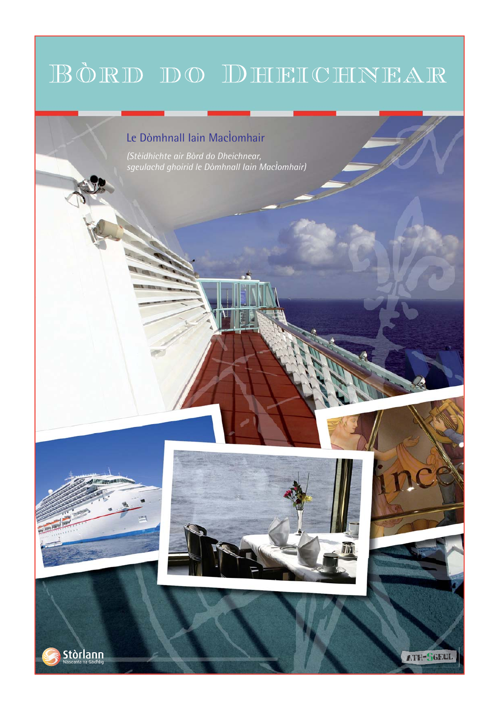# BÒRD DO DHEICHNEAR

# Le Dòmhnall Iain MacÌomhair

*(Stèidhichte air Bòrd do Dheichnear, sgeulachd ghoirid le Dòmhnall Iain MacÌomhair)*



**Stòrlann** 







ATH-SGEUI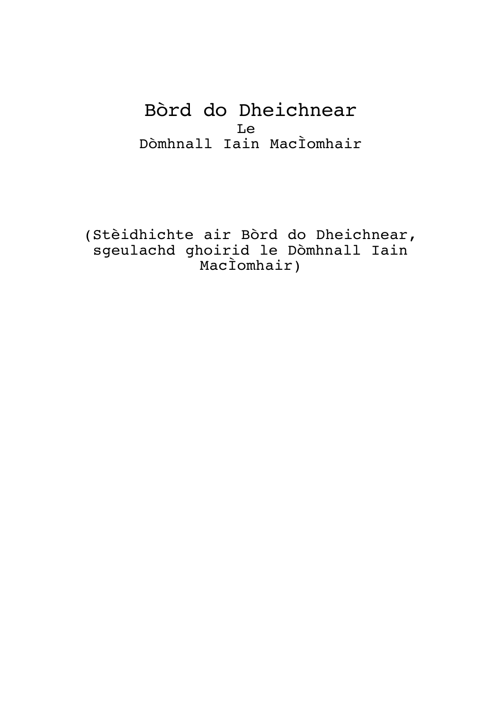Bòrd do Dheichnear Le Dòmhnall Iain MacÌomhair

(Stèidhichte air Bòrd do Dheichnear, sgeulachd ghoirid le Dòmhnall Iain MacÌomhair)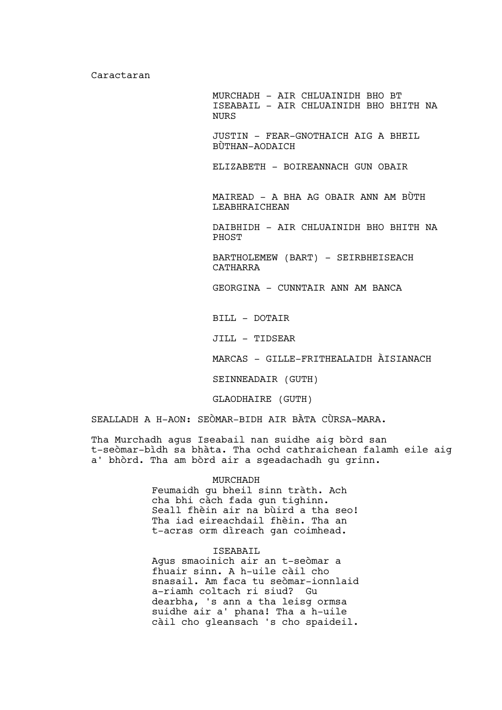Caractaran

MURCHADH – AIR CHLUAINIDH BHO BT ISEABAIL – AIR CHLUAINIDH BHO BHITH NA NURS JUSTIN – FEAR-GNOTHAICH AIG A BHEIL BÙTHAN-AODAICH ELIZABETH – BOIREANNACH GUN OBAIR MAIREAD – A BHA AG OBAIR ANN AM BÙTH LEABHRAICHEAN DAIBHIDH – AIR CHLUAINIDH BHO BHITH NA PHOST BARTHOLEMEW (BART) – SEIRBHEISEACH CATHARRA GEORGINA – CUNNTAIR ANN AM BANCA BILL - DOTAIR JILL – TIDSEAR

MARCAS – GILLE-FRITHEALAIDH ÀISIANACH

SEINNEADAIR (GUTH)

GLAODHAIRE (GUTH)

SEALLADH A H-AON: SEÒMAR-BIDH AIR BÀTA CÙRSA-MARA.

Tha Murchadh agus Iseabail nan suidhe aig bòrd san t-seòmar-bìdh sa bhàta. Tha ochd cathraichean falamh eile aig a' bhòrd. Tha am bòrd air a sgeadachadh gu grinn.

#### MURCHADH

Feumaidh gu bheil sinn tràth. Ach cha bhi càch fada gun tighinn. Seall fhèin air na bùird a tha seo! Tha iad eireachdail fhèin. Tha an t-acras orm dìreach gan coimhead.

# ISEABAIL

Agus smaoinich air an t-seòmar a fhuair sinn. A h-uile càil cho snasail. Am faca tu seòmar-ionnlaid a-riamh coltach ri siud? Gu dearbha, 's ann a tha leisg ormsa suidhe air a' phana! Tha a h-uile càil cho gleansach 's cho spaideil.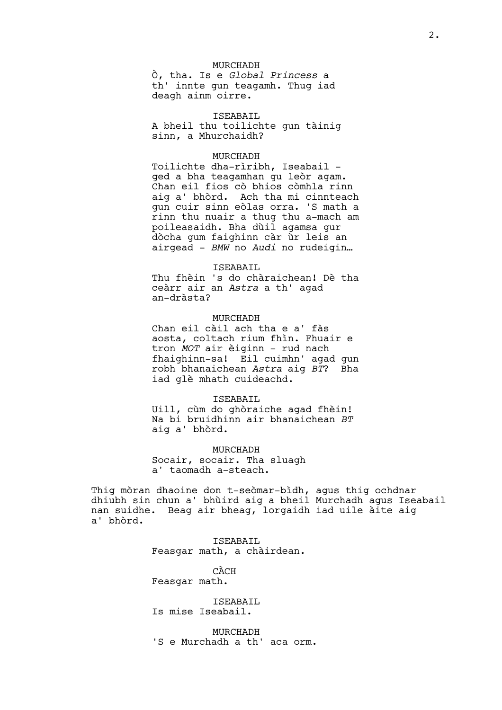#### MURCHADH

Ò, tha. Is e *Global Princess* a th' innte gun teagamh. Thug iad deagh ainm oirre.

ISEABAIL A bheil thu toilichte gun tàinig sinn, a Mhurchaidh?

#### MURCHADH

Toilichte dha-rìribh, Iseabail – ged a bha teagamhan gu leòr agam. Chan eil fios cò bhios còmhla rinn aig a' bhòrd. Ach tha mi cinnteach gun cuir sinn eòlas orra. 'S math a rinn thu nuair a thug thu a-mach am poileasaidh. Bha dùil agamsa gur dòcha gum faighinn càr ùr leis an airgead – *BMW* no *Audi* no rudeigin…

#### ISEABAIL

Thu fhèin 's do chàraichean! Dè tha ceàrr air an *Astra* a th' agad an-dràsta?

# MURCHADH

Chan eil càil ach tha e a' fàs aosta, coltach rium fhìn. Fhuair e tron *MOT* air èiginn – rud nach fhaighinn-sa! Eil cuimhn' agad gun robh bhanaichean *Astra* aig *BT*? Bha iad glè mhath cuideachd.

#### ISEABAIL

Uill, cùm do ghòraiche agad fhèin! Na bi bruidhinn air bhanaichean *BT* aig a' bhòrd.

# MURCHADH Socair, socair. Tha sluagh a' taomadh a-steach.

Thig mòran dhaoine don t-seòmar-bìdh, agus thig ochdnar dhiubh sin chun a' bhùird aig a bheil Murchadh agus Iseabail nan suidhe. Beag air bheag, lorgaidh iad uile àite aig a' bhòrd.

> ISEABAIL Feasgar math, a chàirdean.

CÀCH Feasgar math.

ISEABAIL Is mise Iseabail.

MURCHADH 'S e Murchadh a th' aca orm.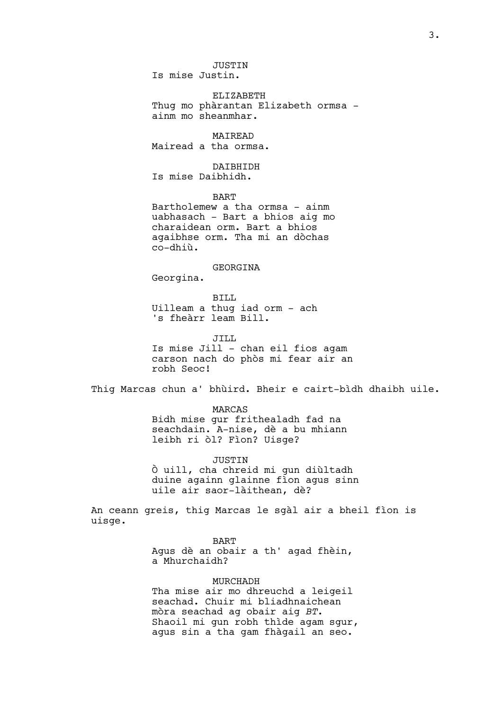JUSTIN Is mise Justin.

ELIZABETH Thug mo phàrantan Elizabeth ormsa – ainm mo sheanmhar.

MAIREAD Mairead a tha ormsa.

DAIBHIDH

Is mise Daibhidh.

BART

Bartholemew a tha ormsa – ainm uabhasach – Bart a bhios aig mo charaidean orm. Bart a bhios agaibhse orm. Tha mi an dòchas co-dhiù.

GEORGINA

Georgina.

BILL Uilleam a thug iad orm – ach 's fheàrr leam Bill.

JILL Is mise Jill – chan eil fios agam carson nach do phòs mi fear air an robh Seoc!

Thig Marcas chun a' bhùird. Bheir e cairt-bìdh dhaibh uile.

MARCAS Bidh mise gur frithealadh fad na seachdain. A-nise, dè a bu mhiann leibh ri òl? Fìon? Uisge?

**JUSTIN** Ò uill, cha chreid mi gun diùltadh duine againn glainne fìon agus sinn uile air saor-làithean, dè?

An ceann greis, thig Marcas le sgàl air a bheil fìon is uisge.

> BART Agus dè an obair a th' agad fhèin, a Mhurchaidh?

MURCHADH Tha mise air mo dhreuchd a leigeil seachad. Chuir mi bliadhnaichean mòra seachad ag obair aig *BT*. Shaoil mi gun robh thìde agam sgur, agus sin a tha gam fhàgail an seo.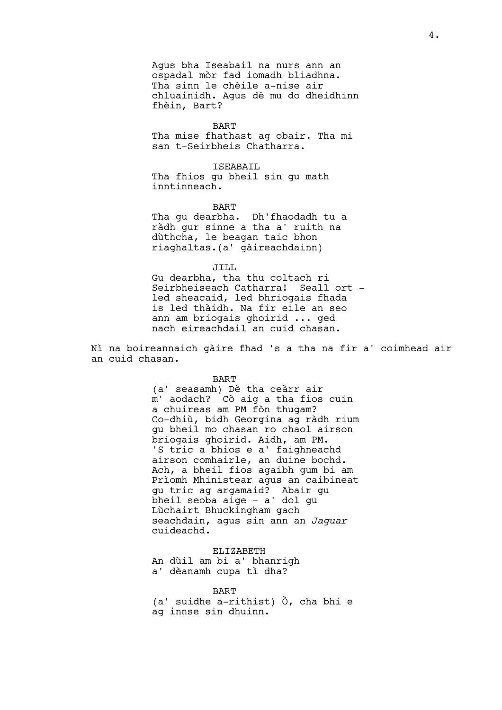Agus bha Iseabail na nurs ann an ospadal mòr fad iomadh bliadhna. Tha sinn le chèile a-nise air chluainidh. Agus dè mu do dheidhinn fhèin, Bart?

BART

Tha mise fhathast ag obair. Tha mi san t-Seirbheis Chatharra.

ISEABAIL Tha fhios gu bheil sin gu math inntinneach.

BART

Tha gu dearbha. Dh'fhaodadh tu a ràdh gur sinne a tha a' ruith na dùthcha, le beagan taic bhon riaghaltas.(a' gàireachdainn)

JILL Gu dearbha, tha thu coltach ri Seirbheiseach Catharra! Seall ort led sheacaid, led bhriogais fhada is led thàidh. Na fir eile an seo ann am briogais ghoirid ... ged nach eireachdail an cuid chasan.

Nì na boireannaich gàire fhad 's a tha na fir a' coimhead air an cuid chasan.

BART

(a' seasamh) Dè tha ceàrr air m' aodach? Cò aig a tha fios cuin a chuireas am PM fòn thugam? Co-dhiù, bidh Georgina ag ràdh rium gu bheil mo chasan ro chaol airson briogais ghoirid. Aidh, am PM. 'S tric a bhios e a' faighneachd airson comhairle, an duine bochd. Ach, a bheil fios agaibh gum bi am Prìomh Mhinistear agus an caibineat gu tric ag argamaid? Abair gu bheil seoba aige – a' dol gu Lùchairt Bhuckingham gach seachdain, agus sin ann an *Jaguar* cuideachd.

ELIZABETH An dùil am bi a' bhanrigh a' dèanamh cupa tì dha?

#### BART

(a' suidhe a-rithist) Ò, cha bhi e ag innse sin dhuinn.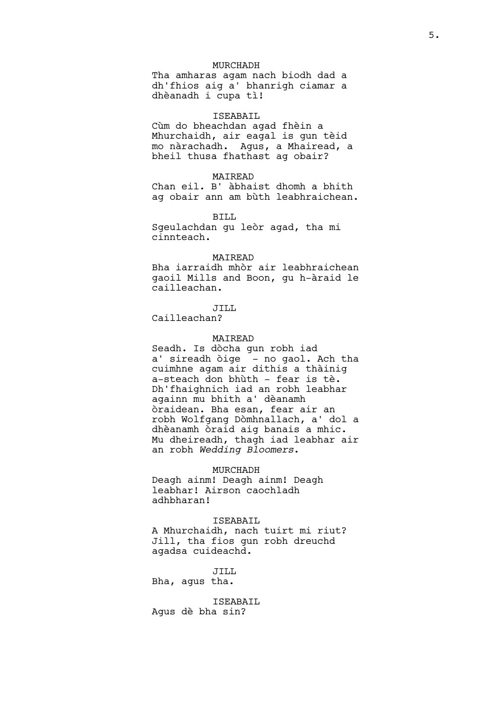# MURCHADH

Tha amharas agam nach biodh dad a dh'fhios aig a' bhanrigh ciamar a dhèanadh i cupa tì!

# ISEABAIL

Cùm do bheachdan agad fhèin a Mhurchaidh, air eagal is gun tèid mo nàrachadh. Agus, a Mhairead, a bheil thusa fhathast ag obair?

# MAIREAD

Chan eil. B' àbhaist dhomh a bhith ag obair ann am bùth leabhraichean.

BILL

Sgeulachdan gu leòr agad, tha mi cinnteach.

# MAIREAD

Bha iarraidh mhòr air leabhraichean gaoil Mills and Boon, gu h-àraid le cailleachan.

### JILL

Cailleachan?

# MAIREAD

Seadh. Is dòcha gun robh iad a' sireadh òige - no gaol. Ach tha cuimhne agam air dithis a thàinig a-steach don bhùth – fear is tè. Dh'fhaighnich iad an robh leabhar againn mu bhith a' dèanamh òraidean. Bha esan, fear air an robh Wolfgang Dòmhnallach, a' dol a dhèanamh òraid aig banais a mhic. Mu dheireadh, thagh iad leabhar air an robh *Wedding Bloomers*.

#### MURCHADH

Deagh ainm! Deagh ainm! Deagh leabhar! Airson caochladh adhbharan!

ISEABAIL

A Mhurchaidh, nach tuirt mi riut? Jill, tha fios gun robh dreuchd agadsa cuideachd.

JILL Bha, agus tha.

ISEABAIL Agus dè bha sin?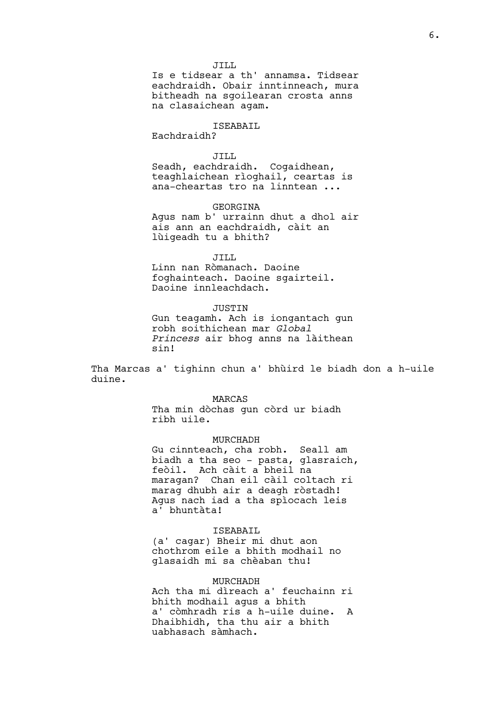JILL

Is e tidsear a th' annamsa. Tidsear eachdraidh. Obair inntinneach, mura bitheadh na sgoilearan crosta anns na clasaichean agam.

# ISEABAIL

Eachdraidh?

# JILL

Seadh, eachdraidh. Cogaidhean, teaghlaichean rìoghail, ceartas is ana-cheartas tro na linntean ...

# GEORGINA

Agus nam b' urrainn dhut a dhol air ais ann an eachdraidh, càit an lùigeadh tu a bhith?

#### JILL

Linn nan Ròmanach. Daoine foghainteach. Daoine sgairteil. Daoine innleachdach.

# JUSTIN

Gun teagamh. Ach is iongantach gun robh soithichean mar *Global Princess* air bhog anns na làithean sin!

Tha Marcas a' tighinn chun a' bhùird le biadh don a h-uile duine.

#### MARCAS

Tha min dòchas gun còrd ur biadh ribh uile.

#### MURCHADH

Gu cinnteach, cha robh. Seall am biadh a tha seo - pasta, glasraich, feòil. Ach càit a bheil na maragan? Chan eil càil coltach ri marag dhubh air a deagh ròstadh! Agus nach iad a tha spìocach leis a' bhuntàta!

#### ISEABAIL

(a' cagar) Bheir mi dhut aon chothrom eile a bhith modhail no glasaidh mi sa chèaban thu!

#### MURCHADH

Ach tha mi dìreach a' feuchainn ri bhith modhail agus a bhith a' còmhradh ris a h-uile duine. A Dhaibhidh, tha thu air a bhith uabhasach sàmhach.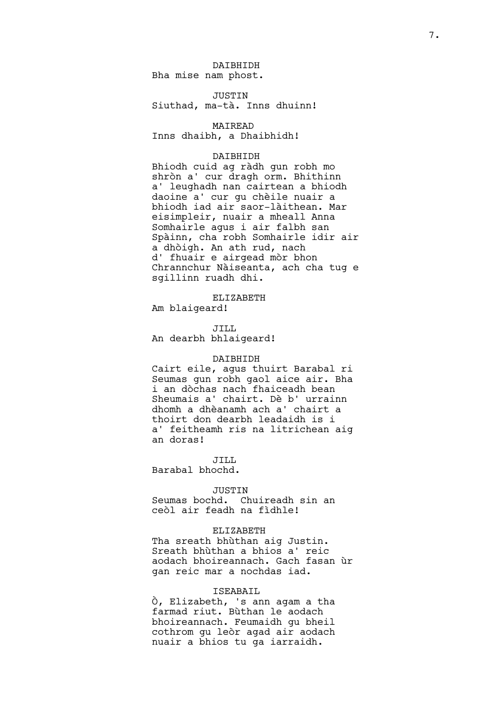DAIBHIDH Bha mise nam phost.

JUSTIN Siuthad, ma-tà. Inns dhuinn!

MAIREAD Inns dhaibh, a Dhaibhidh!

## DAIBHIDH

Bhiodh cuid ag ràdh gun robh mo shròn a' cur dragh orm. Bhithinn a' leughadh nan cairtean a bhiodh daoine a' cur gu chèile nuair a bhiodh iad air saor-làithean. Mar eisimpleir, nuair a mheall Anna Somhairle agus i air falbh san Spàinn, cha robh Somhairle idir air a dhòigh. An ath rud, nach d' fhuair e airgead mòr bhon Chrannchur Nàiseanta, ach cha tug e sgillinn ruadh dhi.

ELIZABETH

Am blaigeard!

JILL An dearbh bhlaigeard!

# DAIBHIDH

Cairt eile, agus thuirt Barabal ri Seumas gun robh gaol aice air. Bha i an dòchas nach fhaiceadh bean Sheumais a' chairt. Dè b' urrainn dhomh a dhèanamh ach a' chairt a thoirt don dearbh leadaidh is i a' feitheamh ris na litrichean aig an doras!

JILL. Barabal bhochd.

#### JUSTIN

Seumas bochd. Chuireadh sin an ceòl air feadh na fìdhle!

### ELIZABETH

Tha sreath bhùthan aig Justin. Sreath bhùthan a bhios a' reic aodach bhoireannach. Gach fasan ùr gan reic mar a nochdas iad.

#### ISEABAIL

Ò, Elizabeth, 's ann agam a tha farmad riut. Bùthan le aodach bhoireannach. Feumaidh gu bheil cothrom gu leòr agad air aodach nuair a bhios tu ga iarraidh.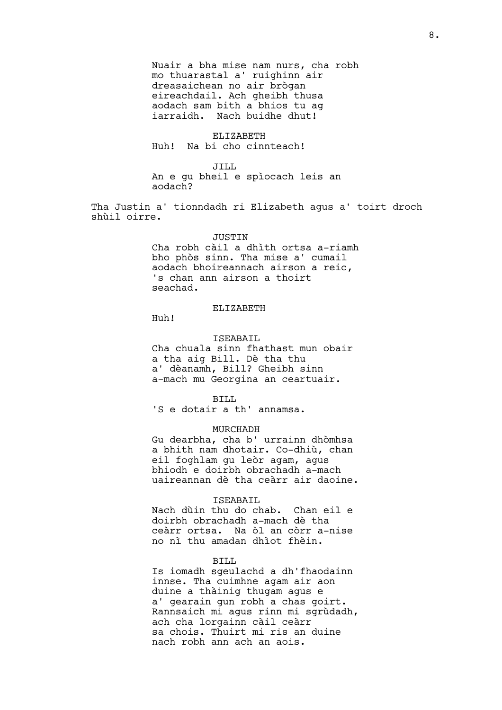Nuair a bha mise nam nurs, cha robh mo thuarastal a' ruighinn air dreasaichean no air brògan eireachdail. Ach gheibh thusa aodach sam bith a bhios tu ag iarraidh. Nach buidhe dhut!

# ELIZABETH

Huh! Na bi cho cinnteach!

JILL

An e gu bheil e spìocach leis an aodach?

Tha Justin a' tionndadh ri Elizabeth agus a' toirt droch shùil oirre.

#### **JUSTIN**

Cha robh càil a dhìth ortsa a-riamh bho phòs sinn. Tha mise a' cumail aodach bhoireannach airson a reic, 's chan ann airson a thoirt seachad.

# ELIZABETH

Huh!

#### ISEABAIL

Cha chuala sinn fhathast mun obair a tha aig Bill. Dè tha thu a' dèanamh, Bill? Gheibh sinn a-mach mu Georgina an ceartuair.

BILL

'S e dotair a th' annamsa.

#### MURCHADH

Gu dearbha, cha b' urrainn dhòmhsa a bhith nam dhotair. Co-dhiù, chan eil foghlam gu leòr agam, agus bhiodh e doirbh obrachadh a-mach uaireannan dè tha ceàrr air daoine.

# ISEABAIL

Nach dùin thu do chab. Chan eil e doirbh obrachadh a-mach dè tha ceàrr ortsa. Na òl an còrr a-nise no nì thu amadan dhìot fhèin.

#### BILL

Is iomadh sgeulachd a dh'fhaodainn innse. Tha cuimhne agam air aon duine a thàinig thugam agus e a' gearain gun robh a chas goirt. Rannsaich mi agus rinn mi sgrùdadh, ach cha lorgainn càil ceàrr sa chois. Thuirt mi ris an duine nach robh ann ach an aois.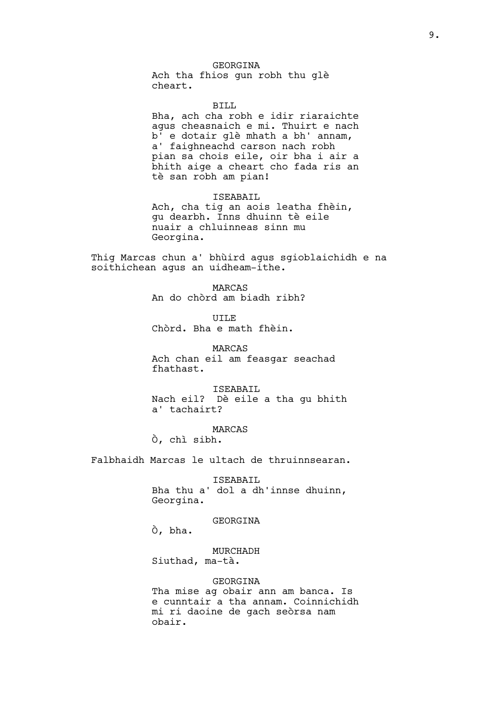#### GEORGINA

Ach tha fhios gun robh thu glè cheart.

BILL Bha, ach cha robh e idir riaraichte agus cheasnaich e mi. Thuirt e nach b' e dotair glè mhath a bh' annam, a' faighneachd carson nach robh pian sa chois eile, oir bha i air a bhith aige a cheart cho fada ris an tè san robh am pian!

ISEABAIL Ach, cha tig an aois leatha fhèin, gu dearbh. Inns dhuinn tè eile nuair a chluinneas sinn mu Georgina.

Thig Marcas chun a' bhùird agus sgioblaichidh e na soithichean agus an uidheam-ithe.

> MARCAS An do chòrd am biadh ribh?

UILE Chòrd. Bha e math fhèin.

MARCAS Ach chan eil am feasgar seachad fhathast.

ISEABAIL Nach eil? Dè eile a tha gu bhith a' tachairt?

MARCAS Ò, chì sibh.

Falbhaidh Marcas le ultach de thruinnsearan.

ISEABAIL Bha thu a' dol a dh'innse dhuinn, Georgina.

GEORGINA

Ò, bha.

MURCHADH Siuthad, ma-tà.

GEORGINA

Tha mise ag obair ann am banca. Is e cunntair a tha annam. Coinnichidh mi ri daoine de gach seòrsa nam obair.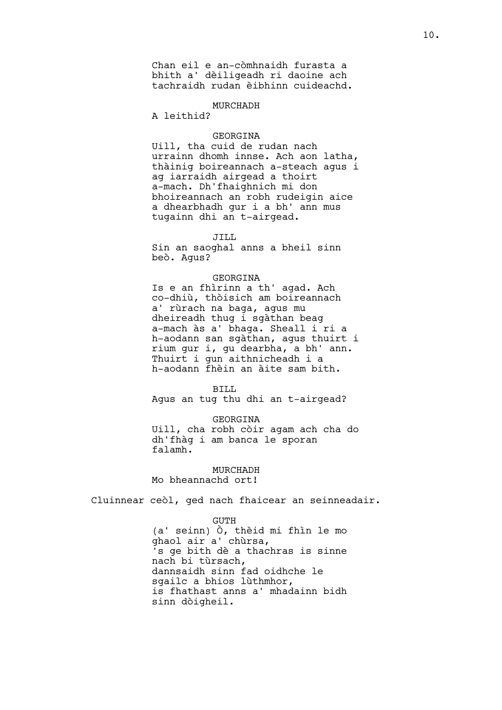Chan eil e an-còmhnaidh furasta a bhith a' dèiligeadh ri daoine ach tachraidh rudan èibhinn cuideachd.

# MURCHADH

A leithid?

# GEORGINA

Uill, tha cuid de rudan nach urrainn dhomh innse. Ach aon latha, thàinig boireannach a-steach agus i ag iarraidh airgead a thoirt a-mach. Dh'fhaighnich mi don bhoireannach an robh rudeigin aice a dhearbhadh gur i a bh' ann mus tugainn dhi an t-airgead.

JILL

Sin an saoghal anns a bheil sinn beò. Agus?

#### GEORGINA

Is e an fhìrinn a th' agad. Ach co-dhiù, thòisich am boireannach a' rùrach na baga, agus mu dheireadh thug i sgàthan beag a-mach às a' bhaga. Sheall i ri a h-aodann san sgàthan, agus thuirt i rium gur i, gu dearbha, a bh' ann. Thuirt i gun aithnicheadh i a h-aodann fhèin an àite sam bith.

BILL Agus an tug thu dhi an t-airgead?

#### GEORGINA

Uill, cha robh còir agam ach cha do dh'fhàg i am banca le sporan falamh.

MURCHADH Mo bheannachd ort!

Cluinnear ceòl, ged nach fhaicear an seinneadair.

GUTH (a' seinn) Ò, thèid mi fhìn le mo ghaol air a' chùrsa, 's ge bith dè a thachras is sinne nach bi tùrsach, dannsaidh sinn fad oidhche le sgailc a bhios lùthmhor, is fhathast anns a' mhadainn bidh sinn dòigheil.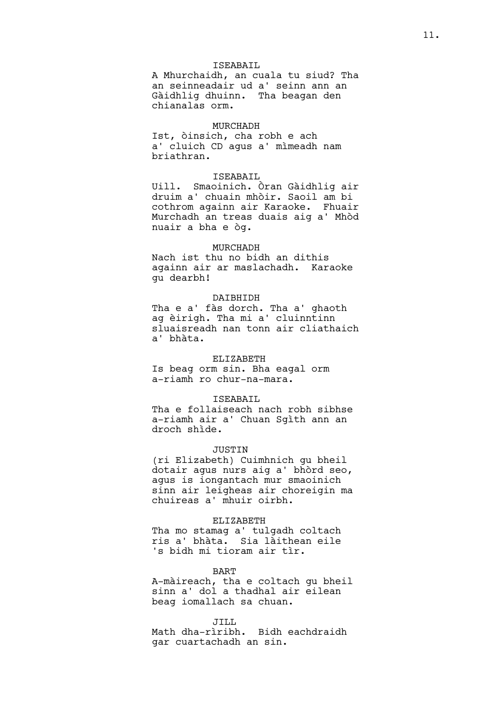# ISEABAIL

A Mhurchaidh, an cuala tu siud? Tha an seinneadair ud a' seinn ann an Gàidhlig dhuinn. Tha beagan den chianalas orm.

#### MURCHADH

Ist, òinsich, cha robh e ach a' cluich CD agus a' mìmeadh nam briathran.

#### ISEABAIL

Uill. Smaoinich. Òran Gàidhlig air druim a' chuain mhòir. Saoil am bi cothrom againn air Karaoke. Fhuair Murchadh an treas duais aig a' Mhòd nuair a bha e òg.

# MURCHADH

Nach ist thu no bidh an dithis againn air ar maslachadh. Karaoke gu dearbh!

#### DAIBHIDH

Tha e a' fàs dorch. Tha a' ghaoth ag èirigh. Tha mi a' cluinntinn sluaisreadh nan tonn air cliathaich a' bhàta.

### ELIZABETH

Is beag orm sin. Bha eagal orm a-riamh ro chur-na-mara.

#### ISEABAIL

Tha e follaiseach nach robh sibhse a-riamh air a' Chuan Sgìth ann an droch shìde.

#### JUSTIN

(ri Elizabeth) Cuimhnich gu bheil dotair agus nurs aig a' bhòrd seo, agus is iongantach mur smaoinich sinn air leigheas air choreigin ma chuireas a' mhuir oirbh.

## ELIZABETH

Tha mo stamag a' tulgadh coltach ris a' bhàta. Sia làithean eile 's bidh mi tioram air tìr.

#### BART

A-màireach, tha e coltach gu bheil sinn a' dol a thadhal air eilean beag iomallach sa chuan.

#### JILL.

Math dha-rìribh. Bidh eachdraidh gar cuartachadh an sin.